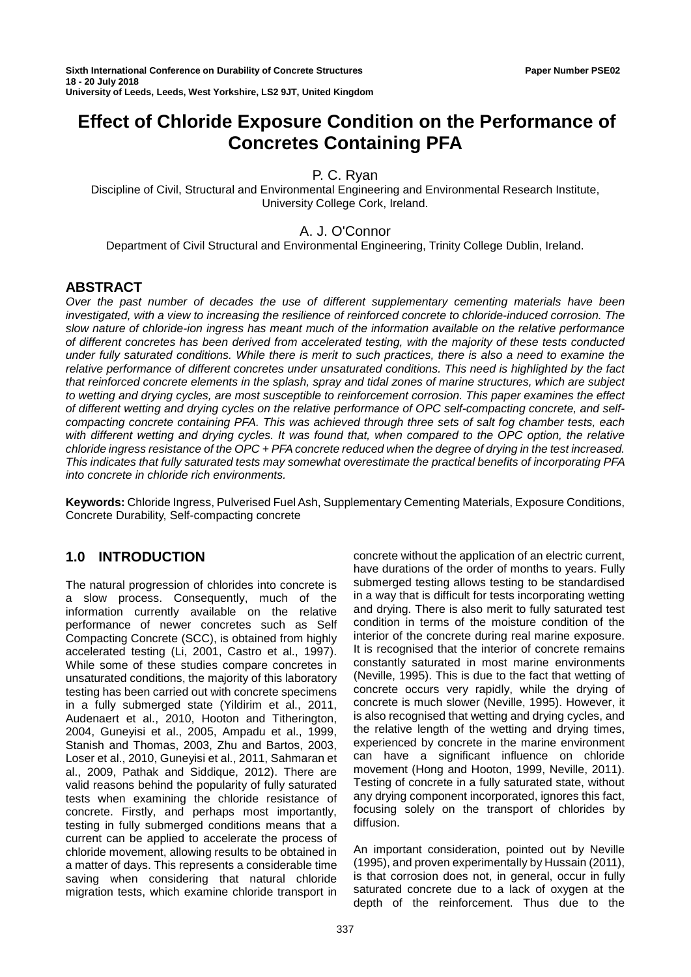# **Effect of Chloride Exposure Condition on the Performance of Concretes Containing PFA**

P. C. Ryan

Discipline of Civil, Structural and Environmental Engineering and Environmental Research Institute, University College Cork, Ireland.

# A. J. O'Connor

Department of Civil Structural and Environmental Engineering, Trinity College Dublin, Ireland.

# **ABSTRACT**

*Over the past number of decades the use of different supplementary cementing materials have been investigated, with a view to increasing the resilience of reinforced concrete to chloride-induced corrosion. The slow nature of chloride-ion ingress has meant much of the information available on the relative performance of different concretes has been derived from accelerated testing, with the majority of these tests conducted under fully saturated conditions. While there is merit to such practices, there is also a need to examine the relative performance of different concretes under unsaturated conditions. This need is highlighted by the fact that reinforced concrete elements in the splash, spray and tidal zones of marine structures, which are subject to wetting and drying cycles, are most susceptible to reinforcement corrosion. This paper examines the effect of different wetting and drying cycles on the relative performance of OPC self-compacting concrete, and selfcompacting concrete containing PFA. This was achieved through three sets of salt fog chamber tests, each with different wetting and drying cycles. It was found that, when compared to the OPC option, the relative chloride ingress resistance of the OPC + PFA concrete reduced when the degree of drying in the test increased. This indicates that fully saturated tests may somewhat overestimate the practical benefits of incorporating PFA into concrete in chloride rich environments.*

**Keywords:** Chloride Ingress, Pulverised Fuel Ash, Supplementary Cementing Materials, Exposure Conditions, Concrete Durability, Self-compacting concrete

# **1.0 INTRODUCTION**

The natural progression of chlorides into concrete is a slow process. Consequently, much of the information currently available on the relative performance of newer concretes such as Self Compacting Concrete (SCC), is obtained from highly accelerated testing (Li, 2001, Castro et al., 1997). While some of these studies compare concretes in unsaturated conditions, the majority of this laboratory testing has been carried out with concrete specimens in a fully submerged state (Yildirim et al., 2011, Audenaert et al., 2010, Hooton and Titherington, 2004, Guneyisi et al., 2005, Ampadu et al., 1999, Stanish and Thomas, 2003, Zhu and Bartos, 2003, Loser et al., 2010, Guneyisi et al., 2011, Sahmaran et al., 2009, Pathak and Siddique, 2012). There are valid reasons behind the popularity of fully saturated tests when examining the chloride resistance of concrete. Firstly, and perhaps most importantly, testing in fully submerged conditions means that a current can be applied to accelerate the process of chloride movement, allowing results to be obtained in a matter of days. This represents a considerable time saving when considering that natural chloride migration tests, which examine chloride transport in

concrete without the application of an electric current, have durations of the order of months to years. Fully submerged testing allows testing to be standardised in a way that is difficult for tests incorporating wetting and drying. There is also merit to fully saturated test condition in terms of the moisture condition of the interior of the concrete during real marine exposure. It is recognised that the interior of concrete remains constantly saturated in most marine environments (Neville, 1995). This is due to the fact that wetting of concrete occurs very rapidly, while the drying of concrete is much slower (Neville, 1995). However, it is also recognised that wetting and drying cycles, and the relative length of the wetting and drying times, experienced by concrete in the marine environment can have a significant influence on chloride movement (Hong and Hooton, 1999, Neville, 2011). Testing of concrete in a fully saturated state, without any drying component incorporated, ignores this fact, focusing solely on the transport of chlorides by diffusion.

An important consideration, pointed out by Neville (1995), and proven experimentally by Hussain (2011), is that corrosion does not, in general, occur in fully saturated concrete due to a lack of oxygen at the depth of the reinforcement. Thus due to the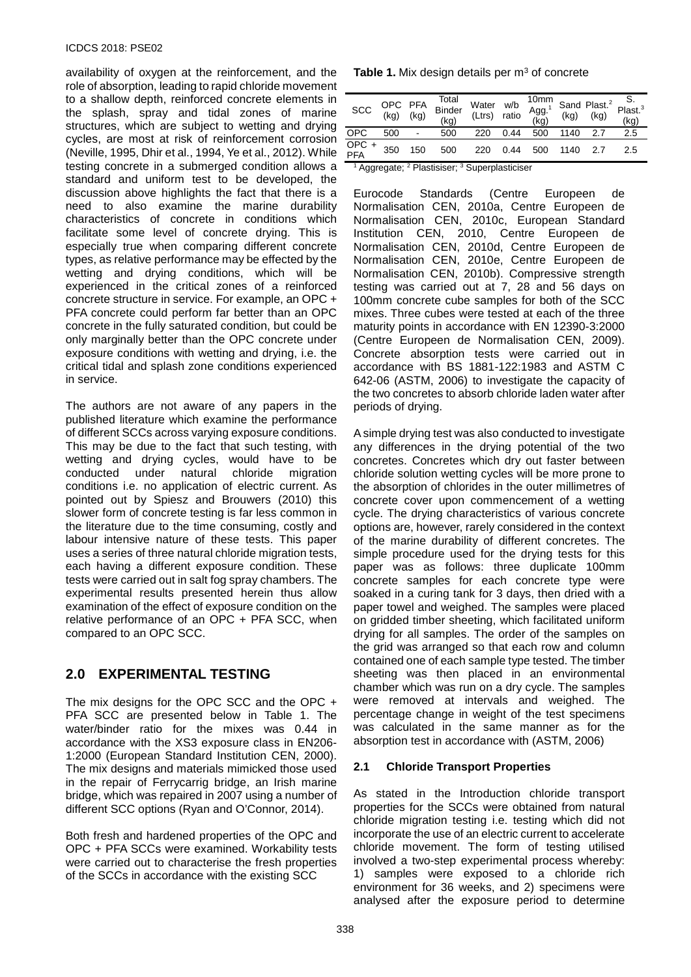availability of oxygen at the reinforcement, and the role of absorption, leading to rapid chloride movement to a shallow depth, reinforced concrete elements in the splash, spray and tidal zones of marine structures, which are subject to wetting and drying cycles, are most at risk of reinforcement corrosion (Neville, 1995, Dhir et al., 1994, Ye et al., 2012). While testing concrete in a submerged condition allows a standard and uniform test to be developed, the discussion above highlights the fact that there is a need to also examine the marine durability characteristics of concrete in conditions which facilitate some level of concrete drying. This is especially true when comparing different concrete types, as relative performance may be effected by the wetting and drying conditions, which will be experienced in the critical zones of a reinforced concrete structure in service. For example, an OPC + PFA concrete could perform far better than an OPC concrete in the fully saturated condition, but could be only marginally better than the OPC concrete under exposure conditions with wetting and drying, i.e. the critical tidal and splash zone conditions experienced in service.

The authors are not aware of any papers in the published literature which examine the performance of different SCCs across varying exposure conditions. This may be due to the fact that such testing, with wetting and drying cycles, would have to be conducted under natural chloride migration conditions i.e. no application of electric current. As pointed out by Spiesz and Brouwers (2010) this slower form of concrete testing is far less common in the literature due to the time consuming, costly and labour intensive nature of these tests. This paper uses a series of three natural chloride migration tests, each having a different exposure condition. These tests were carried out in salt fog spray chambers. The experimental results presented herein thus allow examination of the effect of exposure condition on the relative performance of an OPC + PFA SCC, when compared to an OPC SCC.

# **2.0 EXPERIMENTAL TESTING**

The mix designs for the OPC SCC and the OPC + PFA SCC are presented below in Table 1. The water/binder ratio for the mixes was 0.44 in accordance with the XS3 exposure class in EN206- 1:2000 (European Standard Institution CEN, 2000). The mix designs and materials mimicked those used in the repair of Ferrycarrig bridge, an Irish marine bridge, which was repaired in 2007 using a number of different SCC options (Ryan and O'Connor, 2014).

Both fresh and hardened properties of the OPC and OPC + PFA SCCs were examined. Workability tests were carried out to characterise the fresh properties of the SCCs in accordance with the existing SCC

|  |  | <b>Table 1.</b> Mix design details per $m3$ of concrete |
|--|--|---------------------------------------------------------|
|--|--|---------------------------------------------------------|

| SCC          | OPC PFA<br>(kg) (kg) |                | Total<br>Binder<br>(kg) | Water<br>(Ltrs) | w/b<br>ratio |     |      |     | 10mm<br>Agg. <sup>1</sup> Sand Plast. <sup>2</sup> Plast. <sup>3</sup><br>(kg) (kg) (kg) (kg) |
|--------------|----------------------|----------------|-------------------------|-----------------|--------------|-----|------|-----|-----------------------------------------------------------------------------------------------|
| <b>OPC</b>   | 500                  | $\blacksquare$ | 500                     | 220             | 0.44         | 500 | 1140 |     | 2.5                                                                                           |
| OPC +<br>PFA | 350                  | 150            | 500                     | 220             | 0.44         | 500 | 1140 | 2.7 | 2.5                                                                                           |

<sup>1</sup> Aggregate; <sup>2</sup> Plastisiser; <sup>3</sup> Superplasticiser

Eurocode Standards (Centre Europeen de Normalisation CEN, 2010a, Centre Europeen de Normalisation CEN, 2010c, European Standard Institution CEN, 2010, Centre Europeen de Normalisation CEN, 2010d, Centre Europeen de Normalisation CEN, 2010e, Centre Europeen de Normalisation CEN, 2010b). Compressive strength testing was carried out at 7, 28 and 56 days on 100mm concrete cube samples for both of the SCC mixes. Three cubes were tested at each of the three maturity points in accordance with EN 12390-3:2000 (Centre Europeen de Normalisation CEN, 2009). Concrete absorption tests were carried out in accordance with BS 1881-122:1983 and ASTM C 642-06 (ASTM, 2006) to investigate the capacity of the two concretes to absorb chloride laden water after periods of drying.

A simple drying test was also conducted to investigate any differences in the drying potential of the two concretes. Concretes which dry out faster between chloride solution wetting cycles will be more prone to the absorption of chlorides in the outer millimetres of concrete cover upon commencement of a wetting cycle. The drying characteristics of various concrete options are, however, rarely considered in the context of the marine durability of different concretes. The simple procedure used for the drying tests for this paper was as follows: three duplicate 100mm concrete samples for each concrete type were soaked in a curing tank for 3 days, then dried with a paper towel and weighed. The samples were placed on gridded timber sheeting, which facilitated uniform drying for all samples. The order of the samples on the grid was arranged so that each row and column contained one of each sample type tested. The timber sheeting was then placed in an environmental chamber which was run on a dry cycle. The samples were removed at intervals and weighed. The percentage change in weight of the test specimens was calculated in the same manner as for the absorption test in accordance with (ASTM, 2006)

# **2.1 Chloride Transport Properties**

As stated in the Introduction chloride transport properties for the SCCs were obtained from natural chloride migration testing i.e. testing which did not incorporate the use of an electric current to accelerate chloride movement. The form of testing utilised involved a two-step experimental process whereby: 1) samples were exposed to a chloride rich environment for 36 weeks, and 2) specimens were analysed after the exposure period to determine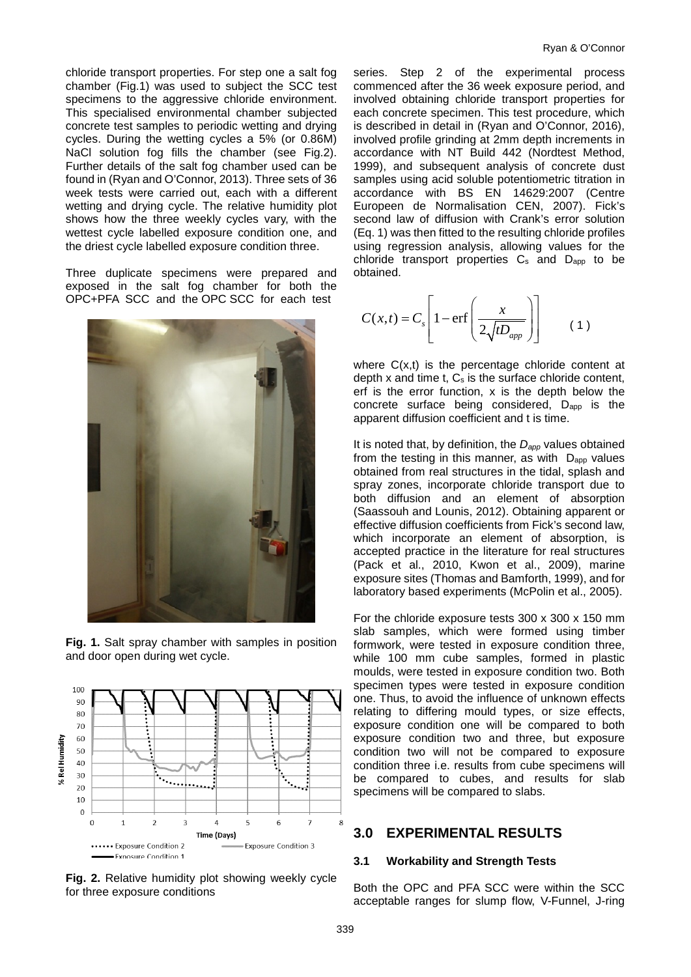chloride transport properties. For step one a salt fog chamber (Fig.1) was used to subject the SCC test specimens to the aggressive chloride environment. This specialised environmental chamber subjected concrete test samples to periodic wetting and drying cycles. During the wetting cycles a 5% (or 0.86M) NaCl solution fog fills the chamber (see Fig.2). Further details of the salt fog chamber used can be found in (Ryan and O'Connor, 2013). Three sets of 36 week tests were carried out, each with a different wetting and drying cycle. The relative humidity plot shows how the three weekly cycles vary, with the wettest cycle labelled exposure condition one, and the driest cycle labelled exposure condition three.

Three duplicate specimens were prepared and exposed in the salt fog chamber for both the OPC+PFA SCC and the OPC SCC for each test







**Fig. 2.** Relative humidity plot showing weekly cycle for three exposure conditions

series. Step 2 of the experimental process commenced after the 36 week exposure period, and involved obtaining chloride transport properties for each concrete specimen. This test procedure, which is described in detail in (Ryan and O'Connor, 2016), involved profile grinding at 2mm depth increments in accordance with NT Build 442 (Nordtest Method, 1999), and subsequent analysis of concrete dust samples using acid soluble potentiometric titration in accordance with BS EN 14629:2007 (Centre Europeen de Normalisation CEN, 2007). Fick's second law of diffusion with Crank's error solution (Eq. 1) was then fitted to the resulting chloride profiles using regression analysis, allowing values for the chloride transport properties  $C_s$  and  $D_{app}$  to be obtained.

$$
C(x,t) = C_s \left[ 1 - \text{erf}\left(\frac{x}{2\sqrt{tD_{app}}}\right) \right]
$$
 (1)

where  $C(x,t)$  is the percentage chloride content at depth x and time t, C<sub>s</sub> is the surface chloride content, erf is the error function, x is the depth below the concrete surface being considered, D<sub>app</sub> is the apparent diffusion coefficient and t is time.

It is noted that, by definition, the *Dapp* values obtained from the testing in this manner, as with  $D_{app}$  values obtained from real structures in the tidal, splash and spray zones, incorporate chloride transport due to both diffusion and an element of absorption (Saassouh and Lounis, 2012). Obtaining apparent or effective diffusion coefficients from Fick's second law, which incorporate an element of absorption, is accepted practice in the literature for real structures (Pack et al., 2010, Kwon et al., 2009), marine exposure sites (Thomas and Bamforth, 1999), and for laboratory based experiments (McPolin et al., 2005).

For the chloride exposure tests 300 x 300 x 150 mm slab samples, which were formed using timber formwork, were tested in exposure condition three, while 100 mm cube samples, formed in plastic moulds, were tested in exposure condition two. Both specimen types were tested in exposure condition one. Thus, to avoid the influence of unknown effects relating to differing mould types, or size effects, exposure condition one will be compared to both exposure condition two and three, but exposure condition two will not be compared to exposure condition three i.e. results from cube specimens will be compared to cubes, and results for slab specimens will be compared to slabs.

## **3.0 EXPERIMENTAL RESULTS**

#### **3.1 Workability and Strength Tests**

Both the OPC and PFA SCC were within the SCC acceptable ranges for slump flow, V-Funnel, J-ring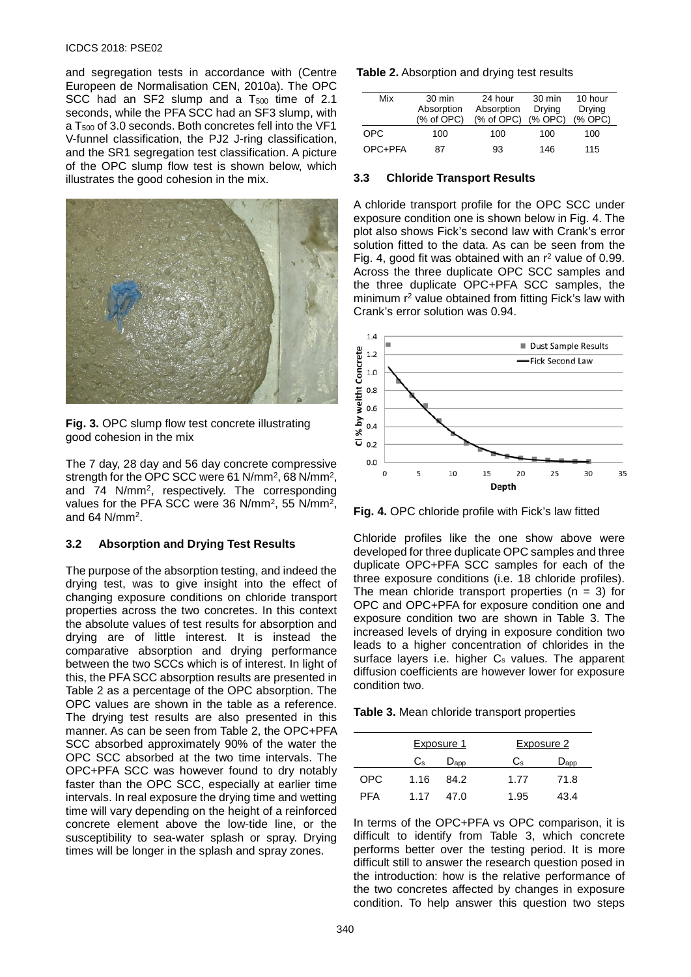#### ICDCS 2018: PSE02

and segregation tests in accordance with (Centre Europeen de Normalisation CEN, 2010a). The OPC SCC had an SF2 slump and a  $T_{500}$  time of 2.1 seconds, while the PFA SCC had an SF3 slump, with a T<sub>500</sub> of 3.0 seconds. Both concretes fell into the VF1 V-funnel classification, the PJ2 J-ring classification, and the SR1 segregation test classification. A picture of the OPC slump flow test is shown below, which illustrates the good cohesion in the mix.



**Fig. 3.** OPC slump flow test concrete illustrating good cohesion in the mix

The 7 day, 28 day and 56 day concrete compressive strength for the OPC SCC were 61 N/mm2, 68 N/mm2, and 74 N/mm2, respectively. The corresponding values for the PFA SCC were 36 N/mm2, 55 N/mm2, and 64  $N/mm^2$ .

#### **3.2 Absorption and Drying Test Results**

The purpose of the absorption testing, and indeed the drying test, was to give insight into the effect of changing exposure conditions on chloride transport properties across the two concretes. In this context the absolute values of test results for absorption and drying are of little interest. It is instead the comparative absorption and drying performance between the two SCCs which is of interest. In light of this, the PFA SCC absorption results are presented in Table 2 as a percentage of the OPC absorption. The OPC values are shown in the table as a reference. The drying test results are also presented in this manner. As can be seen from Table 2, the OPC+PFA SCC absorbed approximately 90% of the water the OPC SCC absorbed at the two time intervals. The OPC+PFA SCC was however found to dry notably faster than the OPC SCC, especially at earlier time intervals. In real exposure the drying time and wetting time will vary depending on the height of a reinforced concrete element above the low-tide line, or the susceptibility to sea-water splash or spray. Drying times will be longer in the splash and spray zones.

#### **Table 2.** Absorption and drying test results

| Mix     | 30 min<br>Absorption<br>(% of OPC) | 24 hour<br>Absorption<br>(% of OPC) | 30 min<br>Drvina<br>$(%$ OPC $)$ | 10 hour<br>Drying<br>$(%$ OPC $)$ |
|---------|------------------------------------|-------------------------------------|----------------------------------|-----------------------------------|
| OPC.    | 100                                | 100                                 | 100                              | 100                               |
| OPC+PFA | 87                                 | 93                                  | 146                              | 115                               |

#### **3.3 Chloride Transport Results**

A chloride transport profile for the OPC SCC under exposure condition one is shown below in Fig. 4. The plot also shows Fick's second law with Crank's error solution fitted to the data. As can be seen from the Fig. 4, good fit was obtained with an  $r^2$  value of 0.99. Across the three duplicate OPC SCC samples and the three duplicate OPC+PFA SCC samples, the minimum r<sup>2</sup> value obtained from fitting Fick's law with Crank's error solution was 0.94.



**Fig. 4.** OPC chloride profile with Fick's law fitted

Chloride profiles like the one show above were developed for three duplicate OPC samples and three duplicate OPC+PFA SCC samples for each of the three exposure conditions (i.e. 18 chloride profiles). The mean chloride transport properties  $(n = 3)$  for OPC and OPC+PFA for exposure condition one and exposure condition two are shown in Table 3. The increased levels of drying in exposure condition two leads to a higher concentration of chlorides in the surface layers i.e. higher C<sub>s</sub> values. The apparent diffusion coefficients are however lower for exposure condition two.

**Table 3.** Mean chloride transport properties

|      |                | Exposure 1    |             | Exposure 2    |  |  |
|------|----------------|---------------|-------------|---------------|--|--|
|      | C <sub>s</sub> | $D_{\rm app}$ | $C_{\rm s}$ | $D_{\rm app}$ |  |  |
| OPC. | 1.16           | 84.2          | 1.77        | 71.8          |  |  |
| PFA  | 1.17           | 47.0          | 1.95        | 43.4          |  |  |

In terms of the OPC+PFA vs OPC comparison, it is difficult to identify from Table 3, which concrete performs better over the testing period. It is more difficult still to answer the research question posed in the introduction: how is the relative performance of the two concretes affected by changes in exposure condition. To help answer this question two steps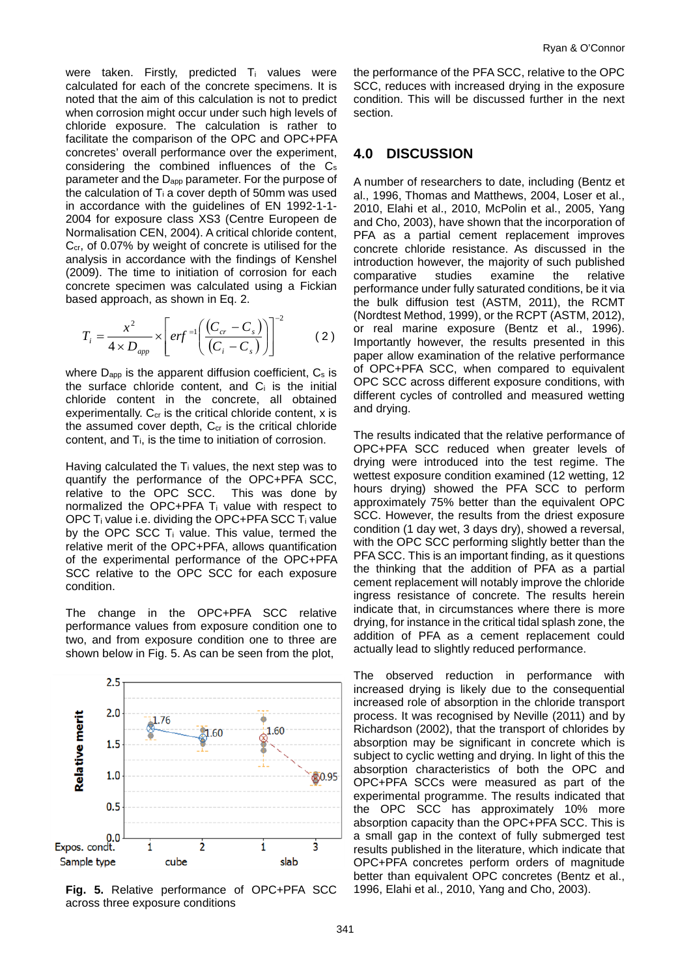were taken. Firstly, predicted T<sub>i</sub> values were calculated for each of the concrete specimens. It is noted that the aim of this calculation is not to predict when corrosion might occur under such high levels of chloride exposure. The calculation is rather to facilitate the comparison of the OPC and OPC+PFA concretes' overall performance over the experiment, considering the combined influences of the Cs parameter and the Dapp parameter. For the purpose of the calculation of  $T_i$  a cover depth of 50mm was used in accordance with the guidelines of EN 1992-1-1- 2004 for exposure class XS3 (Centre Europeen de Normalisation CEN, 2004). A critical chloride content, C<sub>cr</sub>, of 0.07% by weight of concrete is utilised for the analysis in accordance with the findings of Kenshel (2009). The time to initiation of corrosion for each concrete specimen was calculated using a Fickian based approach, as shown in Eq. 2.

$$
T_{i} = \frac{x^{2}}{4 \times D_{app}} \times \left[ erf^{-1} \left( \frac{(C_{cr} - C_{s})}{(C_{i} - C_{s})} \right) \right]^{-2}
$$
 (2)

where  $D_{app}$  is the apparent diffusion coefficient,  $C_s$  is the surface chloride content, and C<sub>i</sub> is the initial chloride content in the concrete, all obtained experimentally.  $C_{cr}$  is the critical chloride content, x is the assumed cover depth,  $C_{cr}$  is the critical chloride content, and Ti, is the time to initiation of corrosion.

Having calculated the  $T_i$  values, the next step was to quantify the performance of the OPC+PFA SCC, relative to the OPC SCC. This was done by relative to the OPC SCC. normalized the OPC+PFA Ti value with respect to OPC  $T_i$  value i.e. dividing the OPC+PFA SCC  $T_i$  value by the OPC SCC T<sub>i</sub> value. This value, termed the relative merit of the OPC+PFA, allows quantification of the experimental performance of the OPC+PFA SCC relative to the OPC SCC for each exposure condition.

The change in the OPC+PFA SCC relative performance values from exposure condition one to two, and from exposure condition one to three are shown below in Fig. 5. As can be seen from the plot,



the performance of the PFA SCC, relative to the OPC SCC, reduces with increased drying in the exposure condition. This will be discussed further in the next section.

### **4.0 DISCUSSION**

A number of researchers to date, including (Bentz et al., 1996, Thomas and Matthews, 2004, Loser et al., 2010, Elahi et al., 2010, McPolin et al., 2005, Yang and Cho, 2003), have shown that the incorporation of PFA as a partial cement replacement improves concrete chloride resistance. As discussed in the introduction however, the majority of such published comparative studies examine the relative performance under fully saturated conditions, be it via the bulk diffusion test (ASTM, 2011), the RCMT (Nordtest Method, 1999), or the RCPT (ASTM, 2012), or real marine exposure (Bentz et al., 1996). Importantly however, the results presented in this paper allow examination of the relative performance of OPC+PFA SCC, when compared to equivalent OPC SCC across different exposure conditions, with different cycles of controlled and measured wetting and drying.

The results indicated that the relative performance of OPC+PFA SCC reduced when greater levels of drying were introduced into the test regime. The wettest exposure condition examined (12 wetting, 12 hours drying) showed the PFA SCC to perform approximately 75% better than the equivalent OPC SCC. However, the results from the driest exposure condition (1 day wet, 3 days dry), showed a reversal, with the OPC SCC performing slightly better than the PFA SCC. This is an important finding, as it questions the thinking that the addition of PFA as a partial cement replacement will notably improve the chloride ingress resistance of concrete. The results herein indicate that, in circumstances where there is more drying, for instance in the critical tidal splash zone, the addition of PFA as a cement replacement could actually lead to slightly reduced performance.

The observed reduction in performance with increased drying is likely due to the consequential increased role of absorption in the chloride transport process. It was recognised by Neville (2011) and by Richardson (2002), that the transport of chlorides by absorption may be significant in concrete which is subject to cyclic wetting and drying. In light of this the absorption characteristics of both the OPC and OPC+PFA SCCs were measured as part of the experimental programme. The results indicated that the OPC SCC has approximately 10% more absorption capacity than the OPC+PFA SCC. This is a small gap in the context of fully submerged test results published in the literature, which indicate that OPC+PFA concretes perform orders of magnitude better than equivalent OPC concretes (Bentz et al., 1996, Elahi et al., 2010, Yang and Cho, 2003).

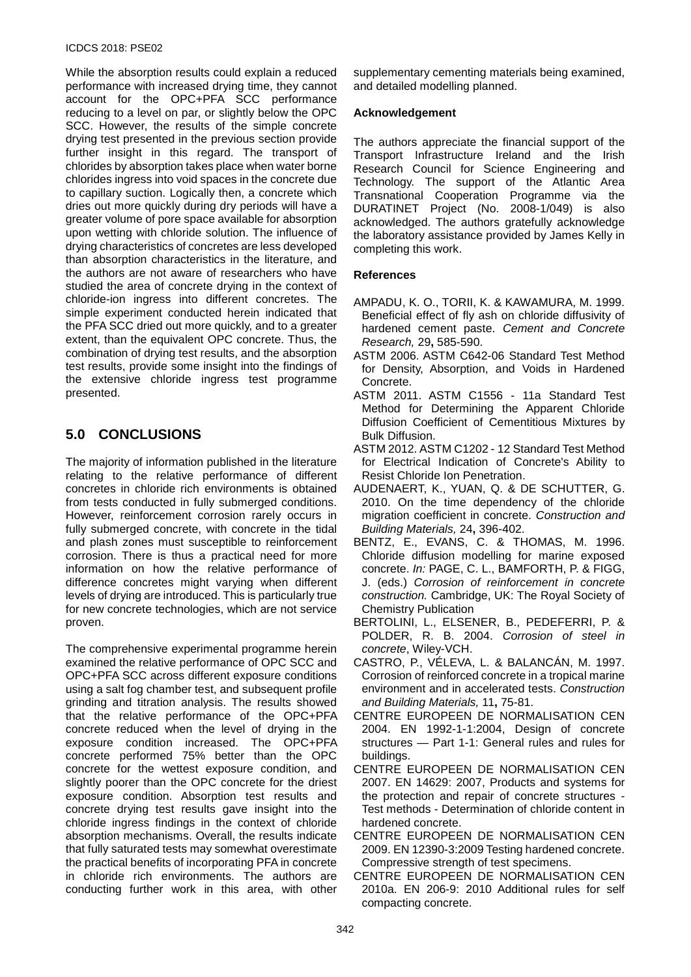While the absorption results could explain a reduced performance with increased drying time, they cannot account for the OPC+PFA SCC performance reducing to a level on par, or slightly below the OPC SCC. However, the results of the simple concrete drying test presented in the previous section provide further insight in this regard. The transport of chlorides by absorption takes place when water borne chlorides ingress into void spaces in the concrete due to capillary suction. Logically then, a concrete which dries out more quickly during dry periods will have a greater volume of pore space available for absorption upon wetting with chloride solution. The influence of drying characteristics of concretes are less developed than absorption characteristics in the literature, and the authors are not aware of researchers who have studied the area of concrete drying in the context of chloride-ion ingress into different concretes. The simple experiment conducted herein indicated that the PFA SCC dried out more quickly, and to a greater extent, than the equivalent OPC concrete. Thus, the combination of drying test results, and the absorption test results, provide some insight into the findings of the extensive chloride ingress test programme presented.

# **5.0 CONCLUSIONS**

The majority of information published in the literature relating to the relative performance of different concretes in chloride rich environments is obtained from tests conducted in fully submerged conditions. However, reinforcement corrosion rarely occurs in fully submerged concrete, with concrete in the tidal and plash zones must susceptible to reinforcement corrosion. There is thus a practical need for more information on how the relative performance of difference concretes might varying when different levels of drying are introduced. This is particularly true for new concrete technologies, which are not service proven.

The comprehensive experimental programme herein examined the relative performance of OPC SCC and OPC+PFA SCC across different exposure conditions using a salt fog chamber test, and subsequent profile grinding and titration analysis. The results showed that the relative performance of the OPC+PFA concrete reduced when the level of drying in the exposure condition increased. The OPC+PFA concrete performed 75% better than the OPC concrete for the wettest exposure condition, and slightly poorer than the OPC concrete for the driest exposure condition. Absorption test results and concrete drying test results gave insight into the chloride ingress findings in the context of chloride absorption mechanisms. Overall, the results indicate that fully saturated tests may somewhat overestimate the practical benefits of incorporating PFA in concrete in chloride rich environments. The authors are conducting further work in this area, with other

supplementary cementing materials being examined, and detailed modelling planned.

### **Acknowledgement**

The authors appreciate the financial support of the Transport Infrastructure Ireland and the Irish Research Council for Science Engineering and Technology. The support of the Atlantic Area Transnational Cooperation Programme via the DURATINET Project (No. 2008-1/049) is also acknowledged. The authors gratefully acknowledge the laboratory assistance provided by James Kelly in completing this work.

### **References**

- AMPADU, K. O., TORII, K. & KAWAMURA, M. 1999. Beneficial effect of fly ash on chloride diffusivity of hardened cement paste. *Cement and Concrete Research,* 29**,** 585-590.
- ASTM 2006. ASTM C642-06 Standard Test Method for Density, Absorption, and Voids in Hardened Concrete.
- ASTM 2011. ASTM C1556 11a Standard Test Method for Determining the Apparent Chloride Diffusion Coefficient of Cementitious Mixtures by Bulk Diffusion.
- ASTM 2012. ASTM C1202 12 Standard Test Method for Electrical Indication of Concrete's Ability to Resist Chloride Ion Penetration.
- AUDENAERT, K., YUAN, Q. & DE SCHUTTER, G. 2010. On the time dependency of the chloride migration coefficient in concrete. *Construction and Building Materials,* 24**,** 396-402.
- BENTZ, E., EVANS, C. & THOMAS, M. 1996. Chloride diffusion modelling for marine exposed concrete. *In:* PAGE, C. L., BAMFORTH, P. & FIGG, J. (eds.) *Corrosion of reinforcement in concrete construction.* Cambridge, UK: The Royal Society of Chemistry Publication
- BERTOLINI, L., ELSENER, B., PEDEFERRI, P. & POLDER, R. B. 2004. *Corrosion of steel in concrete*, Wiley-VCH.
- CASTRO, P., VÉLEVA, L. & BALANCÁN, M. 1997. Corrosion of reinforced concrete in a tropical marine environment and in accelerated tests. *Construction and Building Materials,* 11**,** 75-81.
- CENTRE EUROPEEN DE NORMALISATION CEN 2004. EN 1992-1-1:2004, Design of concrete structures — Part 1-1: General rules and rules for buildings.
- CENTRE EUROPEEN DE NORMALISATION CEN 2007. EN 14629: 2007, Products and systems for the protection and repair of concrete structures - Test methods - Determination of chloride content in hardened concrete.
- CENTRE EUROPEEN DE NORMALISATION CEN 2009. EN 12390-3:2009 Testing hardened concrete. Compressive strength of test specimens.
- CENTRE EUROPEEN DE NORMALISATION CEN 2010a. EN 206-9: 2010 Additional rules for self compacting concrete.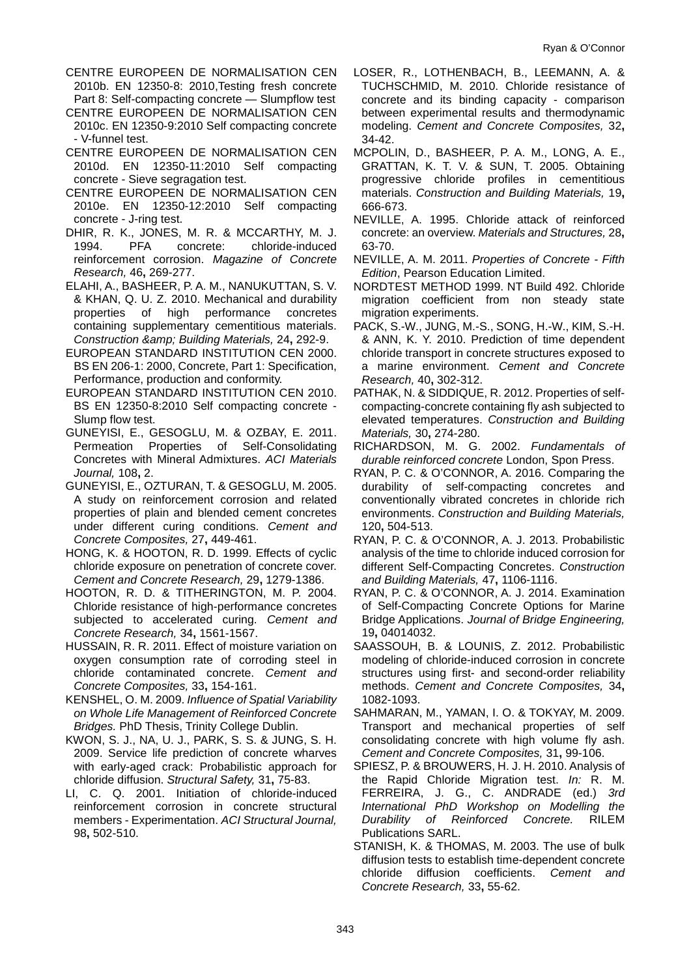- CENTRE EUROPEEN DE NORMALISATION CEN 2010b. EN 12350-8: 2010,Testing fresh concrete Part 8: Self-compacting concrete — Slumpflow test
- CENTRE EUROPEEN DE NORMALISATION CEN 2010c. EN 12350-9:2010 Self compacting concrete - V-funnel test.
- CENTRE EUROPEEN DE NORMALISATION CEN<br>2010d. EN 12350-11:2010 Self compacting 12350-11:2010 Self compacting concrete - Sieve segragation test.
- CENTRE EUROPEEN DE NORMALISATION CEN 2010e. EN 12350-12:2010 Self compacting concrete - J-ring test.
- DHIR, R. K., JONES, M. R. & MCCARTHY, M. J.<br>1994. PFA concrete: chloride-induced 1994. PFA concrete: chloride-induced reinforcement corrosion. *Magazine of Concrete Research,* 46**,** 269-277.
- ELAHI, A., BASHEER, P. A. M., NANUKUTTAN, S. V. & KHAN, Q. U. Z. 2010. Mechanical and durability properties of high performance concretes containing supplementary cementitious materials. *Construction & Building Materials,* 24**,** 292-9.
- EUROPEAN STANDARD INSTITUTION CEN 2000. BS EN 206-1: 2000, Concrete, Part 1: Specification, Performance, production and conformity.
- EUROPEAN STANDARD INSTITUTION CEN 2010. BS EN 12350-8:2010 Self compacting concrete - Slump flow test.
- GUNEYISI, E., GESOGLU, M. & OZBAY, E. 2011. Permeation Properties of Self-Consolidating Concretes with Mineral Admixtures. *ACI Materials Journal,* 108**,** 2.
- GUNEYISI, E., OZTURAN, T. & GESOGLU, M. 2005. A study on reinforcement corrosion and related properties of plain and blended cement concretes under different curing conditions. *Cement and Concrete Composites,* 27**,** 449-461.
- HONG, K. & HOOTON, R. D. 1999. Effects of cyclic chloride exposure on penetration of concrete cover. *Cement and Concrete Research,* 29**,** 1279-1386.
- HOOTON, R. D. & TITHERINGTON, M. P. 2004. Chloride resistance of high-performance concretes subjected to accelerated curing. *Cement and Concrete Research,* 34**,** 1561-1567.
- HUSSAIN, R. R. 2011. Effect of moisture variation on oxygen consumption rate of corroding steel in chloride contaminated concrete. *Cement and Concrete Composites,* 33**,** 154-161.
- KENSHEL, O. M. 2009. *Influence of Spatial Variability on Whole Life Management of Reinforced Concrete Bridges.* PhD Thesis, Trinity College Dublin.
- KWON, S. J., NA, U. J., PARK, S. S. & JUNG, S. H. 2009. Service life prediction of concrete wharves with early-aged crack: Probabilistic approach for chloride diffusion. *Structural Safety,* 31**,** 75-83.
- LI, C. Q. 2001. Initiation of chloride-induced reinforcement corrosion in concrete structural members - Experimentation. *ACI Structural Journal,* 98**,** 502-510.
- LOSER, R., LOTHENBACH, B., LEEMANN, A. & TUCHSCHMID, M. 2010. Chloride resistance of concrete and its binding capacity - comparison between experimental results and thermodynamic modeling. *Cement and Concrete Composites,* 32**,** 34-42.
- MCPOLIN, D., BASHEER, P. A. M., LONG, A. E., GRATTAN, K. T. V. & SUN, T. 2005. Obtaining progressive chloride profiles in cementitious materials. *Construction and Building Materials,* 19**,** 666-673.
- NEVILLE, A. 1995. Chloride attack of reinforced concrete: an overview. *Materials and Structures,* 28**,** 63-70.
- NEVILLE, A. M. 2011. *Properties of Concrete - Fifth Edition*, Pearson Education Limited.
- NORDTEST METHOD 1999. NT Build 492. Chloride migration coefficient from non steady state migration experiments.
- PACK, S.-W., JUNG, M.-S., SONG, H.-W., KIM, S.-H. & ANN, K. Y. 2010. Prediction of time dependent chloride transport in concrete structures exposed to a marine environment. *Cement and Concrete Research,* 40**,** 302-312.
- PATHAK, N. & SIDDIQUE, R. 2012. Properties of selfcompacting-concrete containing fly ash subjected to elevated temperatures. *Construction and Building Materials,* 30**,** 274-280.
- RICHARDSON, M. G. 2002. *Fundamentals of durable reinforced concrete* London, Spon Press.
- RYAN, P. C. & O'CONNOR, A. 2016. Comparing the durability of self-compacting concretes and conventionally vibrated concretes in chloride rich environments. *Construction and Building Materials,* 120**,** 504-513.
- RYAN, P. C. & O'CONNOR, A. J. 2013. Probabilistic analysis of the time to chloride induced corrosion for different Self-Compacting Concretes. *Construction and Building Materials,* 47**,** 1106-1116.
- RYAN, P. C. & O'CONNOR, A. J. 2014. Examination of Self-Compacting Concrete Options for Marine Bridge Applications. *Journal of Bridge Engineering,* 19**,** 04014032.
- SAASSOUH, B. & LOUNIS, Z. 2012. Probabilistic modeling of chloride-induced corrosion in concrete structures using first- and second-order reliability methods. *Cement and Concrete Composites,* 34**,** 1082-1093.
- SAHMARAN, M., YAMAN, I. O. & TOKYAY, M. 2009. Transport and mechanical properties of self consolidating concrete with high volume fly ash. *Cement and Concrete Composites,* 31**,** 99-106.
- SPIESZ, P. & BROUWERS, H. J. H. 2010. Analysis of the Rapid Chloride Migration test. *In:* R. M. FERREIRA, J. G., C. ANDRADE (ed.) *3rd International PhD Workshop on Modelling the Durability of Reinforced Concrete.* RILEM Publications SARL.
- STANISH, K. & THOMAS, M. 2003. The use of bulk diffusion tests to establish time-dependent concrete chloride diffusion coefficients. *Cement and Concrete Research,* 33**,** 55-62.